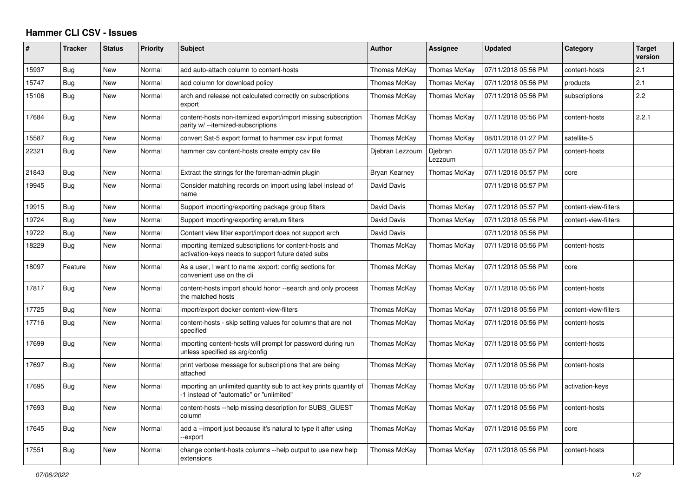## **Hammer CLI CSV - Issues**

| #     | <b>Tracker</b> | <b>Status</b> | <b>Priority</b> | <b>Subject</b>                                                                                                | <b>Author</b>   | Assignee           | <b>Updated</b>      | Category             | <b>Target</b><br>version |
|-------|----------------|---------------|-----------------|---------------------------------------------------------------------------------------------------------------|-----------------|--------------------|---------------------|----------------------|--------------------------|
| 15937 | Bug            | New           | Normal          | add auto-attach column to content-hosts                                                                       | Thomas McKay    | Thomas McKay       | 07/11/2018 05:56 PM | content-hosts        | 2.1                      |
| 15747 | Bug            | New           | Normal          | add column for download policy                                                                                | Thomas McKay    | Thomas McKay       | 07/11/2018 05:56 PM | products             | 2.1                      |
| 15106 | Bug            | New           | Normal          | arch and release not calculated correctly on subscriptions<br>export                                          | Thomas McKay    | Thomas McKay       | 07/11/2018 05:56 PM | subscriptions        | 2.2                      |
| 17684 | Bug            | New           | Normal          | content-hosts non-itemized export/import missing subscription<br>parity w/--itemized-subscriptions            | Thomas McKay    | Thomas McKay       | 07/11/2018 05:56 PM | content-hosts        | 2.2.1                    |
| 15587 | <b>Bug</b>     | New           | Normal          | convert Sat-5 export format to hammer csv input format                                                        | Thomas McKay    | Thomas McKay       | 08/01/2018 01:27 PM | satellite-5          |                          |
| 22321 | Bug            | <b>New</b>    | Normal          | hammer csv content-hosts create empty csv file                                                                | Djebran Lezzoum | Djebran<br>Lezzoum | 07/11/2018 05:57 PM | content-hosts        |                          |
| 21843 | Bug            | New           | Normal          | Extract the strings for the foreman-admin plugin                                                              | Bryan Kearney   | Thomas McKay       | 07/11/2018 05:57 PM | core                 |                          |
| 19945 | Bug            | <b>New</b>    | Normal          | Consider matching records on import using label instead of<br>name                                            | David Davis     |                    | 07/11/2018 05:57 PM |                      |                          |
| 19915 | <b>Bug</b>     | New           | Normal          | Support importing/exporting package group filters                                                             | David Davis     | Thomas McKay       | 07/11/2018 05:57 PM | content-view-filters |                          |
| 19724 | Bug            | <b>New</b>    | Normal          | Support importing/exporting erratum filters                                                                   | David Davis     | Thomas McKay       | 07/11/2018 05:56 PM | content-view-filters |                          |
| 19722 | Bug            | <b>New</b>    | Normal          | Content view filter export/import does not support arch                                                       | David Davis     |                    | 07/11/2018 05:56 PM |                      |                          |
| 18229 | Bug            | <b>New</b>    | Normal          | importing itemized subscriptions for content-hosts and<br>activation-keys needs to support future dated subs  | Thomas McKay    | Thomas McKay       | 07/11/2018 05:56 PM | content-hosts        |                          |
| 18097 | Feature        | New           | Normal          | As a user, I want to name : export: config sections for<br>convenient use on the cli                          | Thomas McKay    | Thomas McKay       | 07/11/2018 05:56 PM | core                 |                          |
| 17817 | Bug            | New           | Normal          | content-hosts import should honor --search and only process<br>the matched hosts                              | Thomas McKay    | Thomas McKay       | 07/11/2018 05:56 PM | content-hosts        |                          |
| 17725 | Bug            | New           | Normal          | import/export docker content-view-filters                                                                     | Thomas McKay    | Thomas McKay       | 07/11/2018 05:56 PM | content-view-filters |                          |
| 17716 | Bug            | New           | Normal          | content-hosts - skip setting values for columns that are not<br>specified                                     | Thomas McKay    | Thomas McKay       | 07/11/2018 05:56 PM | content-hosts        |                          |
| 17699 | Bug            | <b>New</b>    | Normal          | importing content-hosts will prompt for password during run<br>unless specified as arg/config                 | Thomas McKay    | Thomas McKay       | 07/11/2018 05:56 PM | content-hosts        |                          |
| 17697 | Bug            | <b>New</b>    | Normal          | print verbose message for subscriptions that are being<br>attached                                            | Thomas McKay    | Thomas McKay       | 07/11/2018 05:56 PM | content-hosts        |                          |
| 17695 | <b>Bug</b>     | <b>New</b>    | Normal          | importing an unlimited quantity sub to act key prints quantity of<br>-1 instead of "automatic" or "unlimited" | Thomas McKay    | Thomas McKay       | 07/11/2018 05:56 PM | activation-keys      |                          |
| 17693 | Bug            | New           | Normal          | content-hosts --help missing description for SUBS_GUEST<br>column                                             | Thomas McKay    | Thomas McKay       | 07/11/2018 05:56 PM | content-hosts        |                          |
| 17645 | Bug            | <b>New</b>    | Normal          | add a --import just because it's natural to type it after using<br>-export                                    | Thomas McKay    | Thomas McKay       | 07/11/2018 05:56 PM | core                 |                          |
| 17551 | <b>Bug</b>     | New           | Normal          | change content-hosts columns --help output to use new help<br>extensions                                      | Thomas McKay    | Thomas McKay       | 07/11/2018 05:56 PM | content-hosts        |                          |